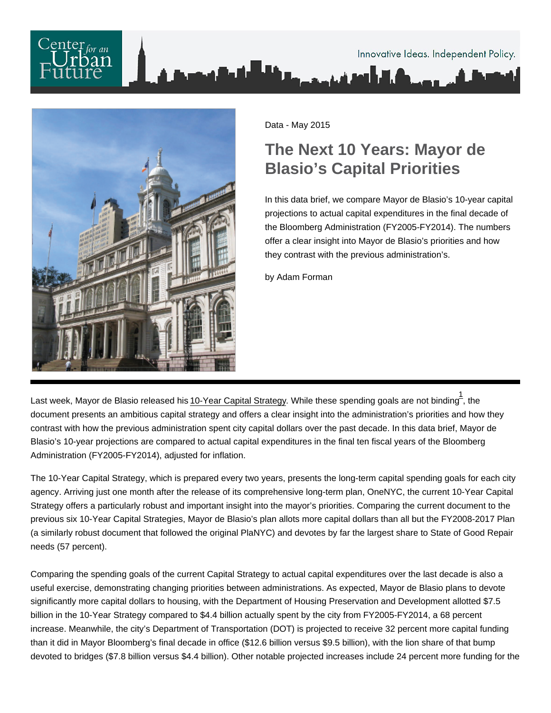Data - May 2015

## The Next 10 Years: Mayor de Blasio's Capital Priorities

In this data brief, we compare Mayor de Blasio's 10-year capital projections to actual capital expenditures in the final decade of the Bloomberg Administration (FY2005-FY2014). The numbers offer a clear insight into Mayor de Blasio's priorities and how they contrast with the previous administration's.

by Adam Forman

1.<br>Last week, Mayor de Blasio released his [10-Year Capital Strategy.](http://www.nyc.gov/html/omb/downloads/pdf/typ5_15.pdf) While these spending goals are not binding , the document presents an ambitious capital strategy and offers a clear insight into the administration's priorities and how they contrast with how the previous administration spent city capital dollars over the past decade. In this data brief, Mayor de Blasio's 10-year projections are compared to actual capital expenditures in the final ten fiscal years of the Bloomberg Administration (FY2005-FY2014), adjusted for inflation.

The 10-Year Capital Strategy, which is prepared every two years, presents the long-term capital spending goals for each city agency. Arriving just one month after the release of its comprehensive long-term plan, OneNYC, the current 10-Year Capital Strategy offers a particularly robust and important insight into the mayor's priorities. Comparing the current document to the previous six 10-Year Capital Strategies, Mayor de Blasio's plan allots more capital dollars than all but the FY2008-2017 Plan (a similarly robust document that followed the original PlaNYC) and devotes by far the largest share to State of Good Repair needs (57 percent).

Comparing the spending goals of the current Capital Strategy to actual capital expenditures over the last decade is also a useful exercise, demonstrating changing priorities between administrations. As expected, Mayor de Blasio plans to devote significantly more capital dollars to housing, with the Department of Housing Preservation and Development allotted \$7.5 billion in the 10-Year Strategy compared to \$4.4 billion actually spent by the city from FY2005-FY2014, a 68 percent increase. Meanwhile, the city's Department of Transportation (DOT) is projected to receive 32 percent more capital funding than it did in Mayor Bloomberg's final decade in office (\$12.6 billion versus \$9.5 billion), with the lion share of that bump devoted to bridges (\$7.8 billion versus \$4.4 billion). Other notable projected increases include 24 percent more funding for the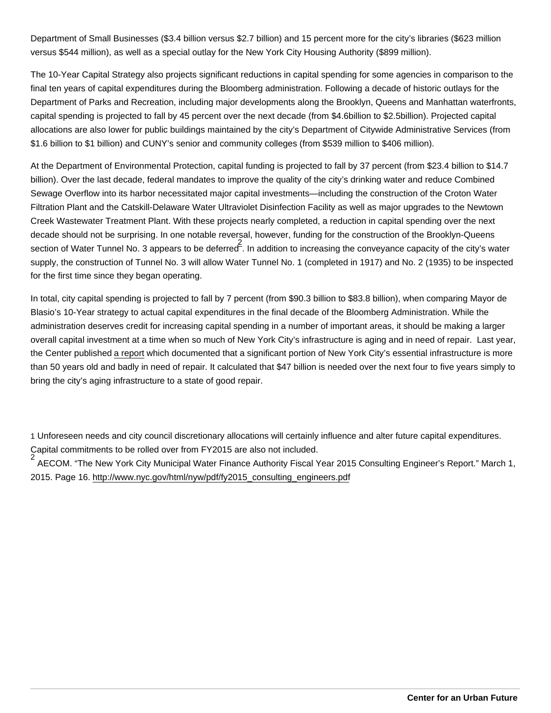Department of Small Businesses (\$3.4 billion versus \$2.7 billion) and 15 percent more for the city's libraries (\$623 million versus \$544 million), as well as a special outlay for the New York City Housing Authority (\$899 million).

The 10-Year Capital Strategy also projects significant reductions in capital spending for some agencies in comparison to the final ten years of capital expenditures during the Bloomberg administration. Following a decade of historic outlays for the Department of Parks and Recreation, including major developments along the Brooklyn, Queens and Manhattan waterfronts, capital spending is projected to fall by 45 percent over the next decade (from \$4.6billion to \$2.5billion). Projected capital allocations are also lower for public buildings maintained by the city's Department of Citywide Administrative Services (from \$1.6 billion to \$1 billion) and CUNY's senior and community colleges (from \$539 million to \$406 million).

At the Department of Environmental Protection, capital funding is projected to fall by 37 percent (from \$23.4 billion to \$14.7 billion). Over the last decade, federal mandates to improve the quality of the city's drinking water and reduce Combined Sewage Overflow into its harbor necessitated major capital investments—including the construction of the Croton Water Filtration Plant and the Catskill-Delaware Water Ultraviolet Disinfection Facility as well as major upgrades to the Newtown Creek Wastewater Treatment Plant. With these projects nearly completed, a reduction in capital spending over the next decade should not be surprising. In one notable reversal, however, funding for the construction of the Brooklyn-Queens section of Water Tunnel No. 3 appears to be deferred<sup>2</sup>. In addition to increasing the conveyance capacity of the city's water supply, the construction of Tunnel No. 3 will allow Water Tunnel No. 1 (completed in 1917) and No. 2 (1935) to be inspected for the first time since they began operating.

In total, city capital spending is projected to fall by 7 percent (from \$90.3 billion to \$83.8 billion), when comparing Mayor de Blasio's 10-Year strategy to actual capital expenditures in the final decade of the Bloomberg Administration. While the administration deserves credit for increasing capital spending in a number of important areas, it should be making a larger overall capital investment at a time when so much of New York City's infrastructure is aging and in need of repair. Last year, the Center published [a report](https://nycfuture.org/research/publications/caution-ahead) which documented that a significant portion of New York City's essential infrastructure is more than 50 years old and badly in need of repair. It calculated that \$47 billion is needed over the next four to five years simply to bring the city's aging infrastructure to a state of good repair.

1 Unforeseen needs and city council discretionary allocations will certainly influence and alter future capital expenditures. Capital commitments to be rolled over from FY2015 are also not included.

2 AECOM. "The New York City Municipal Water Finance Authority Fiscal Year 2015 Consulting Engineer's Report." March 1, 2015. Page 16. [http://www.nyc.gov/html/nyw/pdf/fy2015\\_consulting\\_engineers.pdf](http://www.nyc.gov/html/nyw/pdf/fy2015_consulting_engineers.pdf)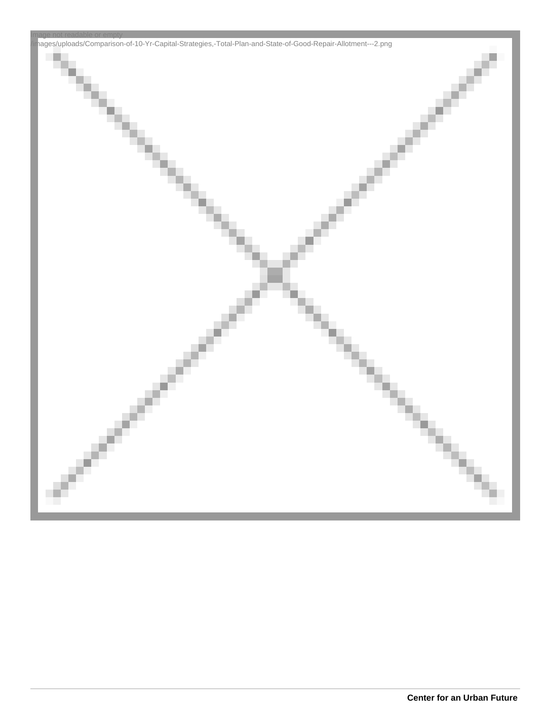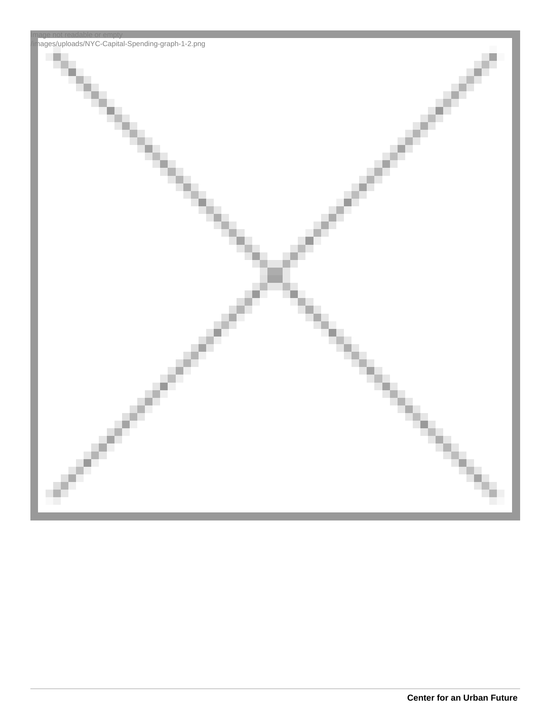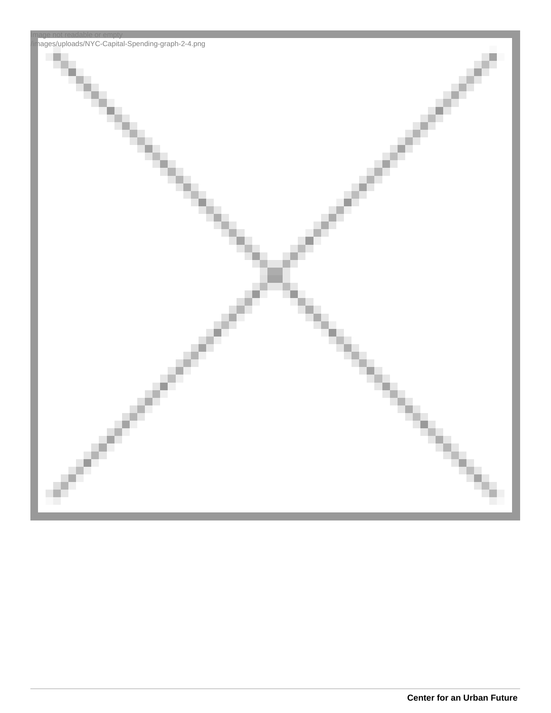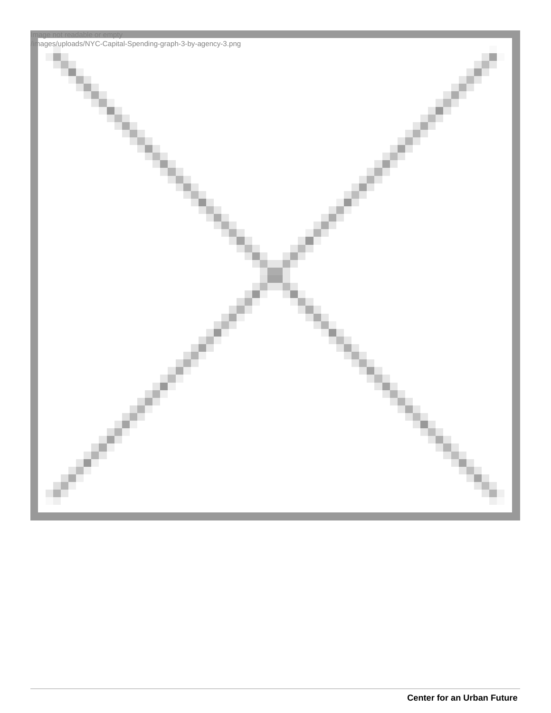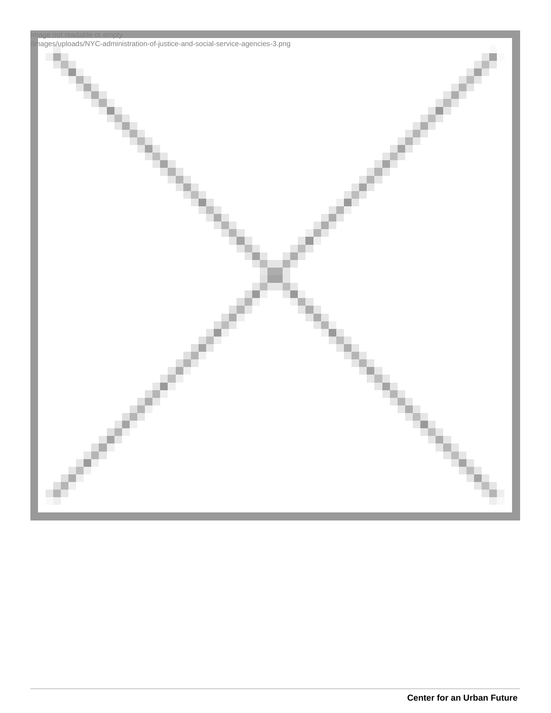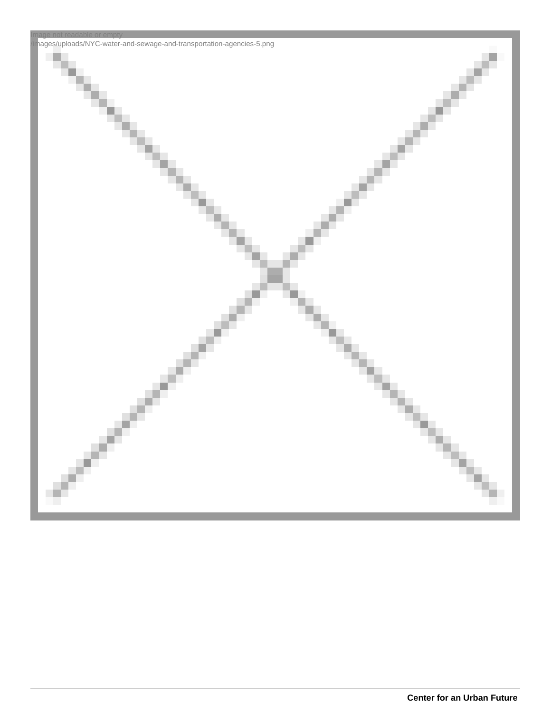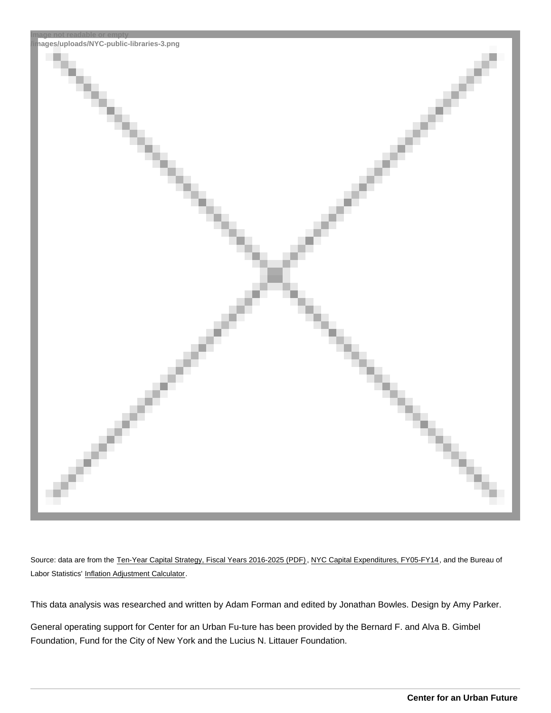Image not readable or empty /images/uploads/NYC-public-libraries-3.png

Source: data are from the [Ten-Year Capital Strategy, Fiscal Years 2016-2025 \(PDF\)](http://www.nyc.gov/html/omb/downloads/pdf/typ5_15.pdf), [NYC Capital Expenditures, FY05-FY14](http://www.ibo.nyc.ny.us/RevenueSpending/AgencyCapitalExpenditures.xls), and the Bureau of Labor Statistics' [Inflation Adjustment Calculator](http://data.bls.gov/pdq/SurveyOutputServlet?data_tool=dropmap&series_id=CUURA101SA0,CUUSA101SA0).

This data analysis was researched and written by Adam Forman and edited by Jonathan Bowles. Design by Amy Parker.

General operating support for Center for an Urban Fu-ture has been provided by the Bernard F. and Alva B. Gimbel Foundation, Fund for the City of New York and the Lucius N. Littauer Foundation.